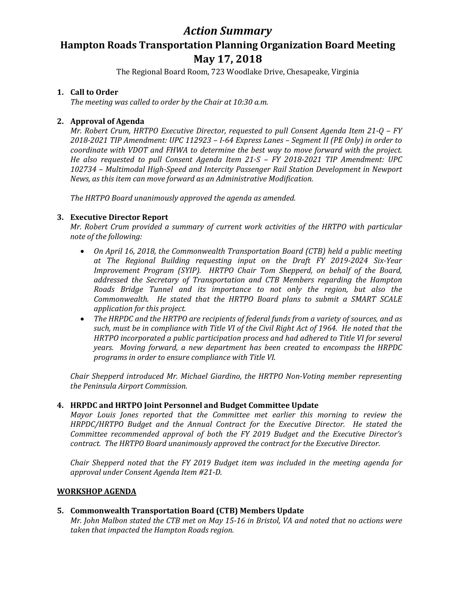## *Action Summary*

# **Hampton Roads Transportation Planning Organization Board Meeting May 17, 2018**

The Regional Board Room, 723 Woodlake Drive, Chesapeake, Virginia

### **1. Call to Order**

*The meeting was called to order by the Chair at 10:30 a.m.*

### **2. Approval of Agenda**

*Mr. Robert Crum, HRTPO Executive Director, requested to pull Consent Agenda Item 21-Q – FY 2018-2021 TIP Amendment: UPC 112923 – I-64 Express Lanes – Segment II (PE Only) in order to coordinate with VDOT and FHWA to determine the best way to move forward with the project. He also requested to pull Consent Agenda Item 21-S – FY 2018-2021 TIP Amendment: UPC 102734 – Multimodal High-Speed and Intercity Passenger Rail Station Development in Newport News, as this item can move forward as an Administrative Modification.*

*The HRTPO Board unanimously approved the agenda as amended.* 

### **3. Executive Director Report**

*Mr. Robert Crum provided a summary of current work activities of the HRTPO with particular note of the following:*

- *On April 16, 2018, the Commonwealth Transportation Board (CTB) held a public meeting at The Regional Building requesting input on the Draft FY 2019-2024 Six-Year Improvement Program (SYIP). HRTPO Chair Tom Shepperd, on behalf of the Board, addressed the Secretary of Transportation and CTB Members regarding the Hampton Roads Bridge Tunnel and its importance to not only the region, but also the Commonwealth. He stated that the HRTPO Board plans to submit a SMART SCALE application for this project.*
- *The HRPDC and the HRTPO are recipients of federal funds from a variety of sources, and as such, must be in compliance with Title VI of the Civil Right Act of 1964. He noted that the HRTPO incorporated a public participation process and had adhered to Title VI for several years. Moving forward, a new department has been created to encompass the HRPDC programs in order to ensure compliance with Title VI.*

*Chair Shepperd introduced Mr. Michael Giardino, the HRTPO Non-Voting member representing the Peninsula Airport Commission.*

### **4. HRPDC and HRTPO Joint Personnel and Budget Committee Update**

*Mayor Louis Jones reported that the Committee met earlier this morning to review the HRPDC/HRTPO Budget and the Annual Contract for the Executive Director. He stated the Committee recommended approval of both the FY 2019 Budget and the Executive Director's contract. The HRTPO Board unanimously approved the contract for the Executive Director.* 

*Chair Shepperd noted that the FY 2019 Budget item was included in the meeting agenda for approval under Consent Agenda Item #21-D.*

### **WORKSHOP AGENDA**

### **5. Commonwealth Transportation Board (CTB) Members Update**

*Mr. John Malbon stated the CTB met on May 15-16 in Bristol, VA and noted that no actions were taken that impacted the Hampton Roads region.*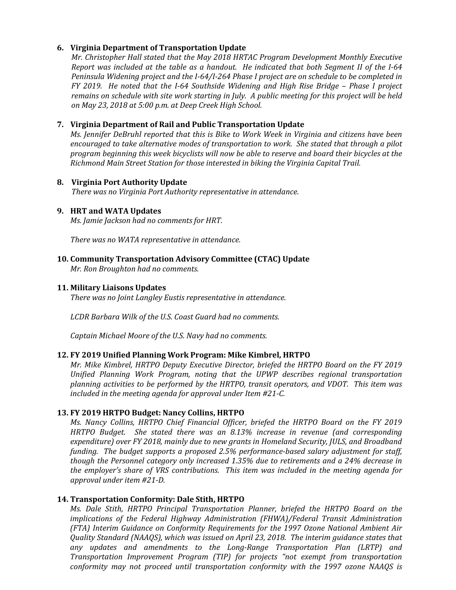#### **6. Virginia Department of Transportation Update**

*Mr. Christopher Hall stated that the May 2018 HRTAC Program Development Monthly Executive Report was included at the table as a handout. He indicated that both Segment II of the I-64 Peninsula Widening project and the I-64/I-264 Phase I project are on schedule to be completed in FY 2019. He noted that the I-64 Southside Widening and High Rise Bridge – Phase I project remains on schedule with site work starting in July. A public meeting for this project will be held on May 23, 2018 at 5:00 p.m. at Deep Creek High School.* 

#### **7. Virginia Department of Rail and Public Transportation Update**

*Ms. Jennifer DeBruhl reported that this is Bike to Work Week in Virginia and citizens have been encouraged to take alternative modes of transportation to work. She stated that through a pilot program beginning this week bicyclists will now be able to reserve and board their bicycles at the Richmond Main Street Station for those interested in biking the Virginia Capital Trail.* 

#### **8. Virginia Port Authority Update**

*There was no Virginia Port Authority representative in attendance.*

#### **9. HRT and WATA Updates**

*Ms. Jamie Jackson had no comments for HRT.*

*There was no WATA representative in attendance.* 

#### **10. Community Transportation Advisory Committee (CTAC) Update**

*Mr. Ron Broughton had no comments.*

#### **11. Military Liaisons Updates**

*There was no Joint Langley Eustis representative in attendance.*

*LCDR Barbara Wilk of the U.S. Coast Guard had no comments.*

*Captain Michael Moore of the U.S. Navy had no comments.* 

#### **12. FY 2019 Unified Planning Work Program: Mike Kimbrel, HRTPO**

*Mr. Mike Kimbrel, HRTPO Deputy Executive Director, briefed the HRTPO Board on the FY 2019 Unified Planning Work Program, noting that the UPWP describes regional transportation planning activities to be performed by the HRTPO, transit operators, and VDOT. This item was included in the meeting agenda for approval under Item #21-C.*

#### **13. FY 2019 HRTPO Budget: Nancy Collins, HRTPO**

*Ms. Nancy Collins, HRTPO Chief Financial Officer, briefed the HRTPO Board on the FY 2019 HRTPO Budget. She stated there was an 8.13% increase in revenue (and corresponding expenditure) over FY 2018, mainly due to new grants in Homeland Security, JULS, and Broadband funding. The budget supports a proposed 2.5% performance-based salary adjustment for staff, though the Personnel category only increased 1.35% due to retirements and a 24% decrease in the employer's share of VRS contributions. This item was included in the meeting agenda for approval under item #21-D.*

#### **14. Transportation Conformity: Dale Stith, HRTPO**

*Ms. Dale Stith, HRTPO Principal Transportation Planner, briefed the HRTPO Board on the implications of the Federal Highway Administration (FHWA)/Federal Transit Administration (FTA) Interim Guidance on Conformity Requirements for the 1997 Ozone National Ambient Air Quality Standard (NAAQS), which was issued on April 23, 2018. The interim guidance states that any updates and amendments to the Long-Range Transportation Plan (LRTP) and Transportation Improvement Program (TIP) for projects "not exempt from transportation conformity may not proceed until transportation conformity with the 1997 ozone NAAQS is*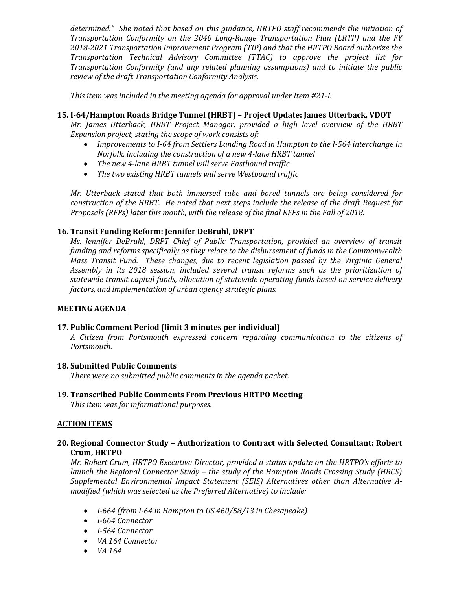*determined." She noted that based on this guidance, HRTPO staff recommends the initiation of Transportation Conformity on the 2040 Long-Range Transportation Plan (LRTP) and the FY 2018-2021 Transportation Improvement Program (TIP) and that the HRTPO Board authorize the Transportation Technical Advisory Committee (TTAC) to approve the project list for Transportation Conformity (and any related planning assumptions) and to initiate the public review of the draft Transportation Conformity Analysis.*

*This item was included in the meeting agenda for approval under Item #21-I.*

#### **15. I-64/Hampton Roads Bridge Tunnel (HRBT) – Project Update: James Utterback, VDOT**

*Mr. James Utterback, HRBT Project Manager, provided a high level overview of the HRBT Expansion project, stating the scope of work consists of:*

- *Improvements to I-64 from Settlers Landing Road in Hampton to the I-564 interchange in Norfolk, including the construction of a new 4-lane HRBT tunnel*
- *The new 4-lane HRBT tunnel will serve Eastbound traffic*
- *The two existing HRBT tunnels will serve Westbound traffic*

*Mr. Utterback stated that both immersed tube and bored tunnels are being considered for construction of the HRBT. He noted that next steps include the release of the draft Request for Proposals (RFPs) later this month, with the release of the final RFPs in the Fall of 2018.*

#### **16. Transit Funding Reform: Jennifer DeBruhl, DRPT**

*Ms. Jennifer DeBruhl, DRPT Chief of Public Transportation, provided an overview of transit funding and reforms specifically as they relate to the disbursement of funds in the Commonwealth Mass Transit Fund. These changes, due to recent legislation passed by the Virginia General Assembly in its 2018 session, included several transit reforms such as the prioritization of statewide transit capital funds, allocation of statewide operating funds based on service delivery factors, and implementation of urban agency strategic plans.* 

#### **MEETING AGENDA**

#### **17. Public Comment Period (limit 3 minutes per individual)**

*A Citizen from Portsmouth expressed concern regarding communication to the citizens of Portsmouth.* 

#### **18. Submitted Public Comments**

*There were no submitted public comments in the agenda packet.*

**19. Transcribed Public Comments From Previous HRTPO Meeting**

*This item was for informational purposes.*

#### **ACTION ITEMS**

#### **20. Regional Connector Study – Authorization to Contract with Selected Consultant: Robert Crum, HRTPO**

*Mr. Robert Crum, HRTPO Executive Director, provided a status update on the HRTPO's efforts to launch the Regional Connector Study – the study of the Hampton Roads Crossing Study (HRCS) Supplemental Environmental Impact Statement (SEIS) Alternatives other than Alternative Amodified (which was selected as the Preferred Alternative) to include:*

- *I-664 (from I-64 in Hampton to US 460/58/13 in Chesapeake)*
- *I-664 Connector*
- *I-564 Connector*
- *VA 164 Connector*
- *VA 164*